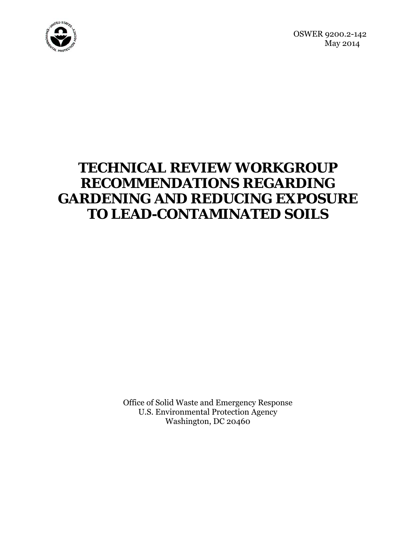

OSWER 9200.2-142 May 2014

# **TECHNICAL REVIEW WORKGROUP RECOMMENDATIONS REGARDING GARDENING AND REDUCING EXPOSURE TO LEAD-CONTAMINATED SOILS**

Office of Solid Waste and Emergency Response U.S. Environmental Protection Agency Washington, DC 20460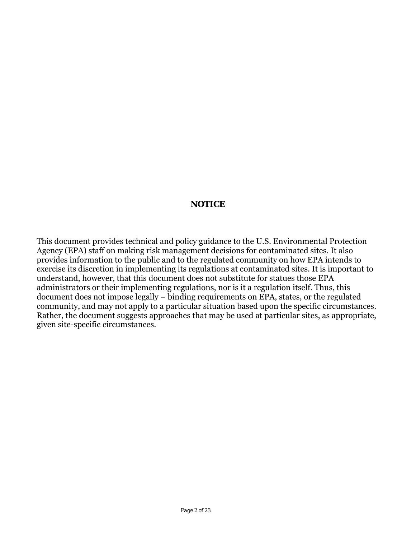## **NOTICE**

This document provides technical and policy guidance to the U.S. Environmental Protection Agency (EPA) staff on making risk management decisions for contaminated sites. It also provides information to the public and to the regulated community on how EPA intends to exercise its discretion in implementing its regulations at contaminated sites. It is important to understand, however, that this document does not substitute for statues those EPA administrators or their implementing regulations, nor is it a regulation itself. Thus, this document does not impose legally – binding requirements on EPA, states, or the regulated community, and may not apply to a particular situation based upon the specific circumstances. Rather, the document suggests approaches that may be used at particular sites, as appropriate, given site-specific circumstances.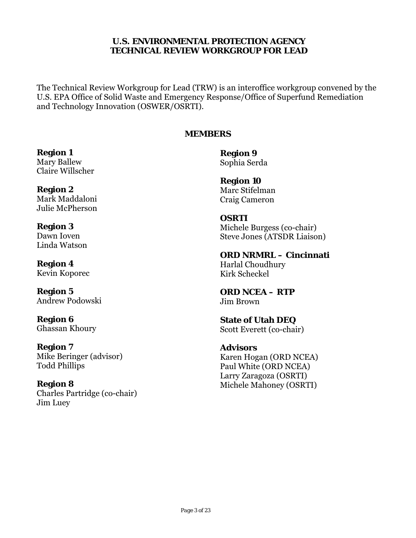# **TECHNICAL REVIEW WORKGROUP FOR LEAD U.S. ENVIRONMENTAL PROTECTION AGENCY**

The Technical Review Workgroup for Lead (TRW) is an interoffice workgroup convened by the U.S. EPA Office of Solid Waste and Emergency Response/Office of Superfund Remediation and Technology Innovation (OSWER/OSRTI).

# **MEMBERS**

**Region 1**<br>Mary Ballew **Region 9**<br>Sophia Ser Claire Willscher

**Region 2** Marc Stifelman Julie McPherson

Linda Watson

Kevin Koporec Kirk Scheckel

Andrew Podowski Jim Brown

**Region 7**<br>
Mike Beringer (advisor) **Advisors**<br>
Karen Hog

**Region 8** Michele Mahoney (OSRTI) Charles Partridge (co-chair) Jim Luey

Sophia Serda

**Region 10** Craig Cameron

**OSRTI Region 3**<br>Dawn Ioven **1988 Michele Burgess (co-chair)**<br>Steve Jones (ATSDR Liaiso Steve Jones (ATSDR Liaison)

**ORD NRMRL – Cincinnati Region 4 Harlal Choudhury** 

**Region 5 ORD NCEA – RTP** 

**Region 6 State of Utah DEQ** Ghassan Khoury Scott Everett (co-chair)

Karen Hogan (ORD NCEA) Todd Phillips Paul White (ORD NCEA) Larry Zaragoza (OSRTI)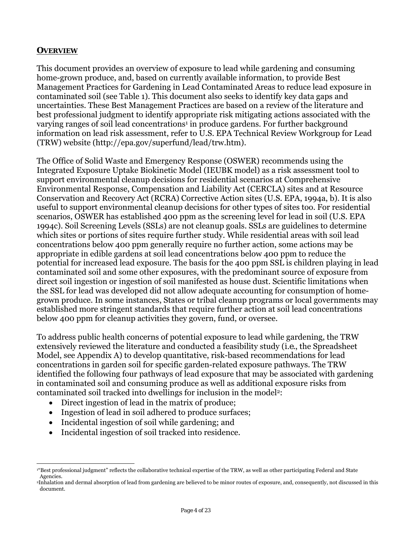# **OVERVIEW**

This document provides an overview of exposure to lead while gardening and consuming home-grown produce, and, based on currently available information, to provide Best Management Practices for Gardening in Lead Contaminated Areas to reduce lead exposure in contaminated soil (see Table 1). This document also seeks to identify key data gaps and uncertainties. These Best Management Practices are based on a review of the literature and best professional judgment to identify appropriate risk mitigating actions associated with the varying ranges of soil lead concentrations<sup>1</sup> in produce gardens. For further background information on lead risk assessment, refer to U.S. EPA Technical Review Workgroup for Lead (TRW) website (http://epa.gov/superfund/lead/trw.htm).

The Office of Solid Waste and Emergency Response (OSWER) recommends using the Integrated Exposure Uptake Biokinetic Model (IEUBK model) as a risk assessment tool to support environmental cleanup decisions for residential scenarios at Comprehensive Environmental Response, Compensation and Liability Act (CERCLA) sites and at Resource Conservation and Recovery Act (RCRA) Corrective Action sites (U.S. EPA, 1994a, b). It is also useful to support environmental cleanup decisions for other types of sites too. For residential scenarios, OSWER has established 400 ppm as the screening level for lead in soil (U.S. EPA 1994c). Soil Screening Levels (SSLs) are not cleanup goals. SSLs are guidelines to determine which sites or portions of sites require further study. While residential areas with soil lead concentrations below 400 ppm generally require no further action, some actions may be appropriate in edible gardens at soil lead concentrations below 400 ppm to reduce the potential for increased lead exposure. The basis for the 400 ppm SSL is children playing in lead contaminated soil and some other exposures, with the predominant source of exposure from direct soil ingestion or ingestion of soil manifested as house dust. Scientific limitations when the SSL for lead was developed did not allow adequate accounting for consumption of homegrown produce. In some instances, States or tribal cleanup programs or local governments may established more stringent standards that require further action at soil lead concentrations below 400 ppm for cleanup activities they govern, fund, or oversee.

To address public health concerns of potential exposure to lead while gardening, the TRW extensively reviewed the literature and conducted a feasibility study (*i.e.*, the Spreadsheet Model, see Appendix A) to develop quantitative, risk-based recommendations for lead concentrations in garden soil for specific garden-related exposure pathways. The TRW identified the following four pathways of lead exposure that may be associated with gardening in contaminated soil and consuming produce as well as additional exposure risks from contaminated soil tracked into dwellings for inclusion in the model2:

- Direct ingestion of lead in the matrix of produce;
- Ingestion of lead in soil adhered to produce surfaces;
- Incidental ingestion of soil while gardening; and
- Incidental ingestion of soil tracked into residence.

 $\overline{a}$ <sup>1"</sup>Best professional judgment" reflects the collaborative technical expertise of the TRW, as well as other participating Federal and State Agencies.

<sup>2</sup>Inhalation and dermal absorption of lead from gardening are believed to be minor routes of exposure, and, consequently, not discussed in this document.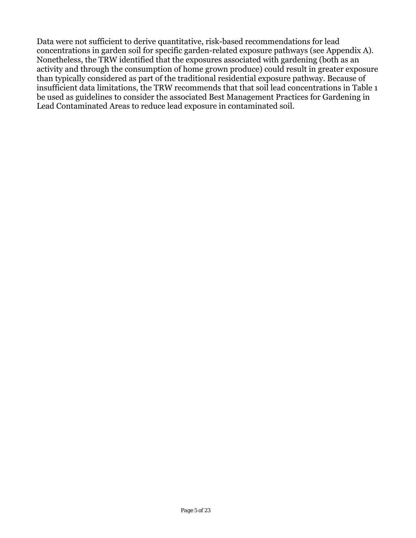Data were not sufficient to derive quantitative, risk-based recommendations for lead concentrations in garden soil for specific garden-related exposure pathways (see Appendix A). Nonetheless, the TRW identified that the exposures associated with gardening (both as an activity and through the consumption of home grown produce) could result in greater exposure than typically considered as part of the traditional residential exposure pathway. Because of insufficient data limitations, the TRW recommends that that soil lead concentrations in Table 1 be used as guidelines to consider the associated Best Management Practices for Gardening in Lead Contaminated Areas to reduce lead exposure in contaminated soil.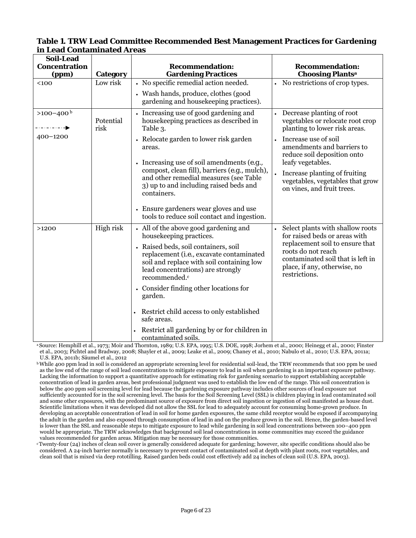| <b>Soil-Lead</b><br><b>Concentration</b><br>(ppm)                  | Category          | <b>Recommendation:</b><br><b>Gardening Practices</b>                                                                                                                                                                                                                                                                                                                                                                                                       | <b>Recommendation:</b><br><b>Choosing Plantsa</b>                                                                                                                                                                                                                             |
|--------------------------------------------------------------------|-------------------|------------------------------------------------------------------------------------------------------------------------------------------------------------------------------------------------------------------------------------------------------------------------------------------------------------------------------------------------------------------------------------------------------------------------------------------------------------|-------------------------------------------------------------------------------------------------------------------------------------------------------------------------------------------------------------------------------------------------------------------------------|
| $100$                                                              | Low risk          | • No specific remedial action needed.<br>• Wash hands, produce, clothes (good<br>gardening and housekeeping practices).                                                                                                                                                                                                                                                                                                                                    | • No restrictions of crop types.                                                                                                                                                                                                                                              |
| $>100-400^{\circ}$<br>- . - . - . - . - . - <b>- .</b><br>400-1200 | Potential<br>risk | Increasing use of good gardening and<br>house keeping practices as described in<br>Table 3.<br>• Relocate garden to lower risk garden<br>areas.<br>Increasing use of soil amendments (e.g.,<br>compost, clean fill), barriers (e.g., mulch),<br>and other remedial measures (see Table<br>3) up to and including raised beds and                                                                                                                           | Decrease planting of root<br>vegetables or relocate root crop<br>planting to lower risk areas.<br>Increase use of soil<br>amendments and barriers to<br>reduce soil deposition onto<br>leafy vegetables.<br>Increase planting of fruiting<br>vegetables, vegetables that grow |
|                                                                    |                   | containers.<br>• Ensure gardeners wear gloves and use<br>tools to reduce soil contact and ingestion.                                                                                                                                                                                                                                                                                                                                                       | on vines, and fruit trees.                                                                                                                                                                                                                                                    |
| >1200                                                              | High risk         | • All of the above good gardening and<br>housekeeping practices.<br>• Raised beds, soil containers, soil<br>replacement (i.e., excavate contaminated<br>soil and replace with soil containing low<br>lead concentrations) are strongly<br>recommended. <sup>c</sup><br>• Consider finding other locations for<br>garden.<br>Restrict child access to only established<br>safe areas.<br>Restrict all gardening by or for children in<br>contaminatod soils | • Select plants with shallow roots<br>for raised beds or areas with<br>replacement soil to ensure that<br>roots do not reach<br>contaminated soil that is left in<br>place, if any, otherwise, no<br>restrictions.                                                            |

#### **Table 1. TRW Lead Committee Recommended Best Management Practices for Gardening in Lead Contaminated Areas**

contaminated soils.<br>«Source: Hemphill et al., 1973; Moir and Thornton, 1989; U.S. EPA, 1995; U.S. DOE, 1998; Jorhem et al., 2000; Heinegg et al., 2000; Finster et al., 2003; Pichtel and Bradway, 2008; Shayler et al., 2009; Leake et al., 2009; Chaney et al., 2010; Nabulo et al., 2010; U.S. EPA, 2011a;

 clean soil that is mixed via deep rototilling. Raised garden beds could cost effectively add 24 inches of clean soil (U.S. EPA, 2003). Twenty-four (24) inches of clean soil cover is generally considered adequate for gardening; however, site specific conditions should also be considered. A 24-inch barrier normally is necessary to prevent contact of contaminated soil at depth with plant roots, root vegetables, and

U.S. EPA, 2011b; Säumel et al., 2012<br><sup>b</sup> While 400 ppm lead in soil is considered an appropriate screening level for residential soil-lead, the TRW recommends that 100 ppm be used sufficiently accounted for in the soil screening level. The basis for the Soil Screening Level (SSL) is children playing in lead contaminated soil as the low end of the range of soil lead concentrations to mitigate exposure to lead in soil when gardening is an important exposure pathway. Lacking the information to support a quantitative approach for estimating risk for gardening scenario to support establishing acceptable concentration of lead in garden areas, best professional judgment was used to establish the low end of the range. This soil concentration is below the 400 ppm soil screening level for lead because the gardening exposure pathway includes other sources of lead exposure not and some other exposures, with the predominant source of exposure from direct soil ingestion or ingestion of soil manifested as house dust. Scientific limitations when it was developed did not allow the SSL for lead to adequately account for consuming home-grown produce. In developing an acceptable concentration of lead in soil for home garden exposures, the same child receptor would be exposed if accompanying the adult in the garden and also exposed through consumption of lead in and on the produce grown in the soil. Hence, the garden-based level is lower than the SSL and reasonable steps to mitigate exposure to lead while gardening in soil lead concentrations between 100–400 ppm would be appropriate. The TRW acknowledges that background soil lead concentrations in some communities may exceed the guidance values recommended for garden areas. Mitigation may be necessary for those communities.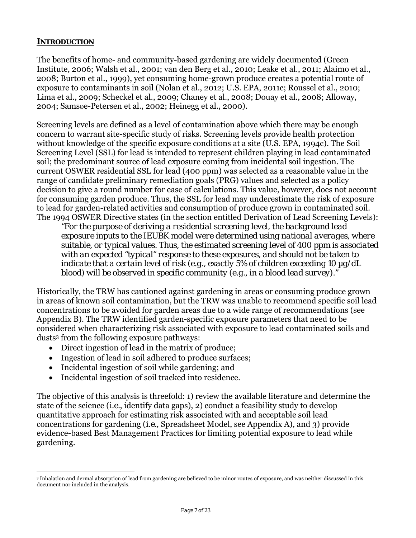# **INTRODUCTION**

The benefits of home- and community-based gardening are widely documented (Green Institute, 2006; Walsh et al., 2001; van den Berg et al., 2010; Leake et al., 2011; Alaimo et al., 2008; Burton et al., 1999), yet consuming home-grown produce creates a potential route of exposure to contaminants in soil (Nolan et al., 2012; U.S. EPA, 2011c; Roussel et al., 2010; Lima et al., 2009; Scheckel et al., 2009; Chaney et al., 2008; Douay et al., 2008; Alloway, 2004; Samsøe-Petersen et al., 2002; Heinegg et al., 2000).

Screening levels are defined as a level of contamination above which there may be enough concern to warrant site-specific study of risks. Screening levels provide health protection without knowledge of the specific exposure conditions at a site (U.S. EPA, 1994c). The Soil Screening Level (SSL) for lead is intended to represent children playing in lead contaminated soil; the predominant source of lead exposure coming from incidental soil ingestion. The current OSWER residential SSL for lead (400 ppm) was selected as a reasonable value in the range of candidate preliminary remediation goals (PRG) values and selected as a policy decision to give a round number for ease of calculations. This value, however, does not account for consuming garden produce. Thus, the SSL for lead may underestimate the risk of exposure to lead for garden-related activities and consumption of produce grown in contaminated soil. The 1994 OSWER Directive states (in the section entitled Derivation of Lead Screening Levels):

*"For the purpose of deriving a residential screening level, the background lead exposure inputs to the IEUBK model were determined using national averages, where suitable, or typical values. Thus, the estimated screening level of 400 ppm is associated with an expected "typical" response to these exposures, and should not be taken to indicate that a certain level of risk (e.g., exactly 5% of children exceeding 10 µg/dL blood) will be observed in specific community (e.g., in a blood lead survey)."* 

Historically, the TRW has cautioned against gardening in areas or consuming produce grown in areas of known soil contamination, but the TRW was unable to recommend specific soil lead concentrations to be avoided for garden areas due to a wide range of recommendations (see Appendix B). The TRW identified garden-specific exposure parameters that need to be considered when characterizing risk associated with exposure to lead contaminated soils and dusts3 from the following exposure pathways:

- Direct ingestion of lead in the matrix of produce;
- Ingestion of lead in soil adhered to produce surfaces;
- Incidental ingestion of soil while gardening; and
- Incidental ingestion of soil tracked into residence.

The objective of this analysis is threefold: 1) review the available literature and determine the state of the science (*i.e.*, identify data gaps), 2) conduct a feasibility study to develop quantitative approach for estimating risk associated with and acceptable soil lead concentrations for gardening (*i.e.*, Spreadsheet Model, see Appendix A), and 3) provide evidence-based Best Management Practices for limiting potential exposure to lead while gardening.

 $\overline{a}$  document nor included in the analysis. 3 Inhalation and dermal absorption of lead from gardening are believed to be minor routes of exposure, and was neither discussed in this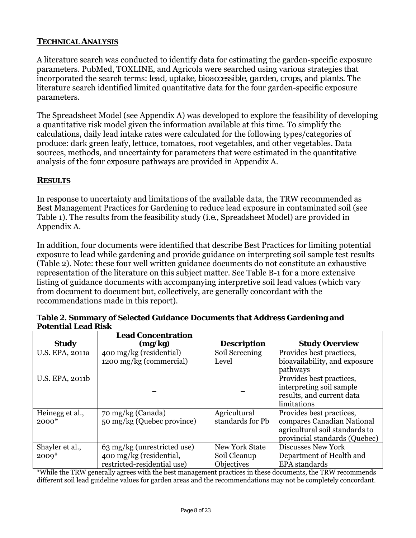# **TECHNICAL ANALYSIS**

A literature search was conducted to identify data for estimating the garden-specific exposure parameters. PubMed, TOXLINE, and Agricola were searched using various strategies that incorporated the search terms: *lead, uptake, bioaccessible, garden, crops*, and *plants*. The literature search identified limited quantitative data for the four garden-specific exposure parameters.

The Spreadsheet Model (see Appendix A) was developed to explore the feasibility of developing a quantitative risk model given the information available at this time. To simplify the calculations, daily lead intake rates were calculated for the following types/categories of produce: dark green leafy, lettuce, tomatoes, root vegetables, and other vegetables. Data sources, methods, and uncertainty for parameters that were estimated in the quantitative analysis of the four exposure pathways are provided in Appendix A.

# **RESULTS**

In response to uncertainty and limitations of the available data, the TRW recommended as Best Management Practices for Gardening to reduce lead exposure in contaminated soil (see Table 1). The results from the feasibility study (*i.e.*, Spreadsheet Model) are provided in Appendix A.

In addition, four documents were identified that describe Best Practices for limiting potential exposure to lead while gardening and provide guidance on interpreting soil sample test results (Table 2). Note: these four well written guidance documents do not constitute an exhaustive representation of the literature on this subject matter. See Table B-1 for a more extensive listing of guidance documents with accompanying interpretive soil lead values (which vary from document to document but, collectively, are generally concordant with the recommendations made in this report).

|                 | <b>Lead Concentration</b>   |                       |                                |
|-----------------|-----------------------------|-----------------------|--------------------------------|
| <b>Study</b>    | (mg/kg)                     | <b>Description</b>    | <b>Study Overview</b>          |
| U.S. EPA, 2011a | 400 mg/kg (residential)     | Soil Screening        | Provides best practices,       |
|                 | 1200 mg/kg (commercial)     | Level                 | bioavailability, and exposure  |
|                 |                             |                       | pathways                       |
| U.S. EPA, 2011b |                             |                       | Provides best practices,       |
|                 |                             |                       | interpreting soil sample       |
|                 |                             |                       | results, and current data      |
|                 |                             |                       | limitations                    |
| Heinegg et al., | 70 mg/kg (Canada)           | Agricultural          | Provides best practices,       |
| $2000*$         | 50 mg/kg (Quebec province)  | standards for Pb      | compares Canadian National     |
|                 |                             |                       | agricultural soil standards to |
|                 |                             |                       | provincial standards (Quebec)  |
| Shayler et al., | 63 mg/kg (unrestricted use) | <b>New York State</b> | <b>Discusses New York</b>      |
| $2009*$         | 400 mg/kg (residential,     | Soil Cleanup          | Department of Health and       |
|                 | restricted-residential use) | Objectives            | <b>EPA</b> standards           |

 **Potential Lead Risk Table 2. Summary of Selected Guidance Documents that Address Gardening and** 

\*While the TRW generally agrees with the best management practices in these documents, the TRW recommends different soil lead guideline values for garden areas and the recommendations may not be completely concordant.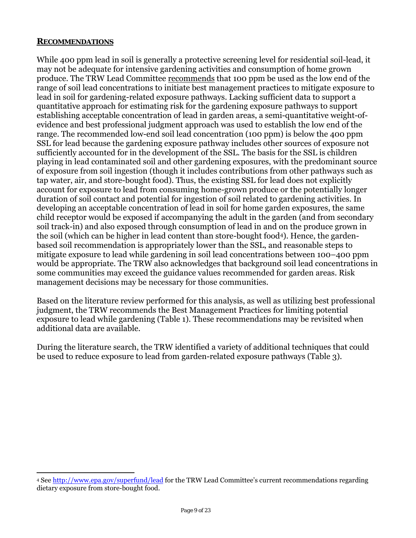#### **RECOMMENDATIONS**

While 400 ppm lead in soil is generally a protective screening level for residential soil-lead, it may not be adequate for intensive gardening activities and consumption of home grown produce. The TRW Lead Committee recommends that 100 ppm be used as the low end of the range of soil lead concentrations to initiate best management practices to mitigate exposure to lead in soil for gardening-related exposure pathways. Lacking sufficient data to support a quantitative approach for estimating risk for the gardening exposure pathways to support establishing acceptable concentration of lead in garden areas, a semi-quantitative weight-ofevidence and best professional judgment approach was used to establish the low end of the range. The recommended low-end soil lead concentration (100 ppm) is below the 400 ppm SSL for lead because the gardening exposure pathway includes other sources of exposure not sufficiently accounted for in the development of the SSL. The basis for the SSL is children playing in lead contaminated soil and other gardening exposures, with the predominant source of exposure from soil ingestion (though it includes contributions from other pathways such as tap water, air, and store-bought food). Thus, the existing SSL for lead does not explicitly account for exposure to lead from consuming home-grown produce or the potentially longer duration of soil contact and potential for ingestion of soil related to gardening activities. In developing an acceptable concentration of lead in soil for home garden exposures, the same child receptor would be exposed if accompanying the adult in the garden (and from secondary soil track-in) and also exposed through consumption of lead in and on the produce grown in the soil (which can be higher in lead content than store-bought food4). Hence, the gardenbased soil recommendation is appropriately lower than the SSL, and reasonable steps to mitigate exposure to lead while gardening in soil lead concentrations between 100–400 ppm would be appropriate. The TRW also acknowledges that background soil lead concentrations in some communities may exceed the guidance values recommended for garden areas. Risk management decisions may be necessary for those communities.

Based on the literature review performed for this analysis, as well as utilizing best professional judgment, the TRW recommends the Best Management Practices for limiting potential exposure to lead while gardening (Table 1). These recommendations may be revisited when additional data are available.

During the literature search, the TRW identified a variety of additional techniques that could be used to reduce exposure to lead from garden-related exposure pathways (Table 3).

 $\overline{a}$ 4 See http://www.epa.gov/superfund/lead for the TRW Lead Committee's current recommendations regarding dietary exposure from store-bought food.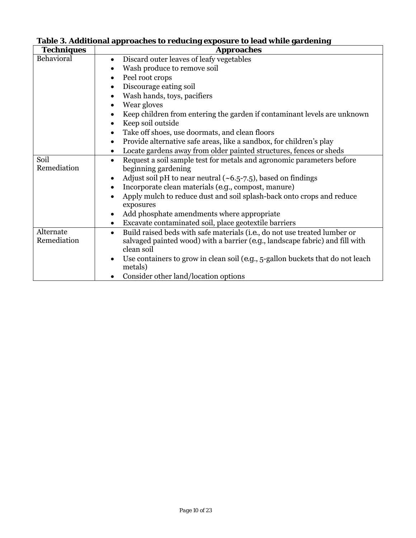| <b>Techniques</b> | <b>Approaches</b>                                                                               |  |  |
|-------------------|-------------------------------------------------------------------------------------------------|--|--|
| Behavioral        | Discard outer leaves of leafy vegetables                                                        |  |  |
|                   | Wash produce to remove soil<br>Peel root crops<br>$\bullet$                                     |  |  |
|                   |                                                                                                 |  |  |
|                   | Discourage eating soil                                                                          |  |  |
|                   | Wash hands, toys, pacifiers<br>$\bullet$                                                        |  |  |
|                   | Wear gloves<br>٠                                                                                |  |  |
|                   | Keep children from entering the garden if contaminant levels are unknown                        |  |  |
|                   | Keep soil outside                                                                               |  |  |
|                   | Take off shoes, use doormats, and clean floors                                                  |  |  |
|                   | Provide alternative safe areas, like a sandbox, for children's play<br>$\bullet$                |  |  |
|                   | Locate gardens away from older painted structures, fences or sheds<br>٠                         |  |  |
| Soil              | Request a soil sample test for metals and agronomic parameters before<br>$\bullet$              |  |  |
| Remediation       | beginning gardening                                                                             |  |  |
|                   | Adjust soil pH to near neutral $(\sim 6.5 - 7.5)$ , based on findings                           |  |  |
|                   | Incorporate clean materials (e.g., compost, manure)                                             |  |  |
|                   | Apply mulch to reduce dust and soil splash-back onto crops and reduce                           |  |  |
|                   | exposures                                                                                       |  |  |
|                   | Add phosphate amendments where appropriate                                                      |  |  |
|                   | Excavate contaminated soil, place geotextile barriers<br>$\bullet$                              |  |  |
| Alternate         | Build raised beds with safe materials ( <i>i.e.</i> , do not use treated lumber or<br>$\bullet$ |  |  |
| Remediation       | salvaged painted wood) with a barrier $(e.g.,$ landscape fabric) and fill with                  |  |  |
|                   | clean soil                                                                                      |  |  |
|                   | Use containers to grow in clean soil ( $e.g., 5$ -gallon buckets that do not leach              |  |  |
|                   | metals)                                                                                         |  |  |
|                   | Consider other land/location options                                                            |  |  |

# **Table 3. Additional approaches to reducing exposure to lead while gardening**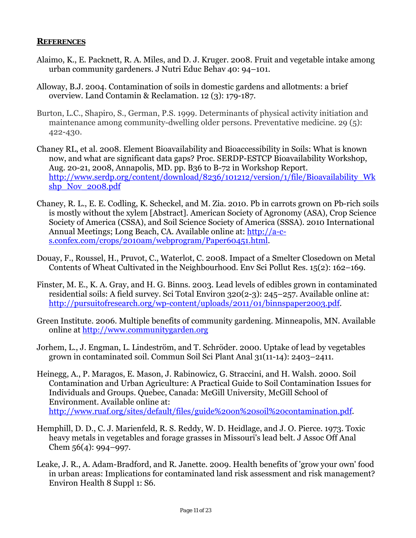#### **REFERENCES**

- Alaimo, K., E. Packnett, R. A. Miles, and D. J. Kruger. 2008. Fruit and vegetable intake among urban community gardeners. J Nutri Educ Behav 40: 94–101.
- Alloway, B.J. 2004. Contamination of soils in domestic gardens and allotments: a brief overview. Land Contamin & Reclamation. 12 (3): 179-187.
- Burton, L.C., Shapiro, S., German, P.S. 1999. Determinants of physical activity initiation and maintenance among community-dwelling older persons. Preventative medicine. 29 (5): 422-430.
- Chaney RL, et al. 2008. Element Bioavailability and Bioaccessibility in Soils: What is known now, and what are significant data gaps? Proc. SERDP-ESTCP Bioavailability Workshop, Aug. 20-21, 2008, Annapolis, MD. pp. B36 to B-72 in Workshop Report. http://www.serdp.org/content/download/8236/101212/version/1/file/Bioavailability\_Wk shp\_Nov\_2008.pdf
- Chaney, R. L., E. E. Codling, K. Scheckel, and M. Zia. 2010. Pb in carrots grown on Pb-rich soils is mostly without the xylem [Abstract]. American Society of Agronomy (ASA), Crop Science Society of America (CSSA), and Soil Science Society of America (SSSA). 2010 International Annual Meetings; Long Beach, CA. Available online at: http://a-cs.confex.com/crops/2010am/webprogram/Paper60451.html.
- Douay, F., Roussel, H., Pruvot, C., Waterlot, C. 2008. Impact of a Smelter Closedown on Metal Contents of Wheat Cultivated in the Neighbourhood. Env Sci Pollut Res. 15(2): 162–169.
- Finster, M. E., K. A. Gray, and H. G. Binns. 2003. Lead levels of edibles grown in contaminated residential soils: A field survey. Sci Total Environ 320(2-3): 245–257. Available online at: http://pursuitofresearch.org/wp-content/uploads/2011/01/binnspaper2003.pdf.
- online at http://www.communitygarden.org Green Institute. 2006. Multiple benefits of community gardening. Minneapolis, MN. Available
- Jorhem, L., J. Engman, L. Lindeström, and T. Schröder. 2000. Uptake of lead by vegetables grown in contaminated soil. Commun Soil Sci Plant Anal 31(11-14): 2403–2411.
- Heinegg, A., P. Maragos, E. Mason, J. Rabinowicz, G. Straccini, and H. Walsh. 2000. Soil Contamination and Urban Agriculture: A Practical Guide to Soil Contamination Issues for Individuals and Groups. Quebec, Canada: McGill University, McGill School of Environment. Available online at: http://www.ruaf.org/sites/default/files/guide%20on%20soil%20contamination.pdf.
- Hemphill, D. D., C. J. Marienfeld, R. S. Reddy, W. D. Heidlage, and J. O. Pierce. 1973. Toxic heavy metals in vegetables and forage grasses in Missouri's lead belt. J Assoc Off Anal Chem 56(4): 994–997.
- Leake, J. R., A. Adam-Bradford, and R. Janette. 2009. Health benefits of 'grow your own' food in urban areas: Implications for contaminated land risk assessment and risk management? Environ Health 8 Suppl 1: S6.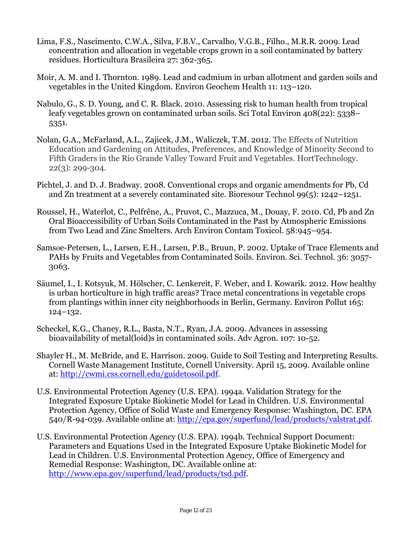- Lima, F.S., Nascimento, C.W.A., Silva, F.B.V., Carvalho, V.G.B., Filho., M.R.R. 2009. Lead concentration and allocation in vegetable crops grown in a soil contaminated by battery residues. Horticultura Brasileira 27: 362-365.
- Moir, A. M. and I. Thornton. 1989. Lead and cadmium in urban allotment and garden soils and vegetables in the United Kingdom. Environ Geochem Health 11: 113–120.
- Nabulo, G., S. D. Young, and C. R. Black. 2010. Assessing risk to human health from tropical leafy vegetables grown on contaminated urban soils. Sci Total Environ 408(22): 5338– 5351.
- Nolan, G.A., McFarland, A.L., Zajicek, J.M., Waliczek, T.M. 2012. The Effects of Nutrition Education and Gardening on Attitudes, Preferences, and Knowledge of Minority Second to Fifth Graders in the Rio Grande Valley Toward Fruit and Vegetables. HortTechnology. 22(3): 299-304.
- Pichtel, J. and D. J. Bradway. 2008. Conventional crops and organic amendments for Pb, Cd and Zn treatment at a severely contaminated site. Bioresour Technol 99(5): 1242–1251.
- Roussel, H., Waterlot, C., Pelfrêne, A., Pruvot, C., Mazzuca, M., Douay, F. 2010. Cd, Pb and Zn Oral Bioaccessibility of Urban Soils Contaminated in the Past by Atmospheric Emissions from Two Lead and Zinc Smelters. Arch Environ Contam Toxicol. 58:945–954.
- Samsøe-Petersen, L., Larsen, E.H., Larsen, P.B., Bruun, P. 2002. Uptake of Trace Elements and PAHs by Fruits and Vegetables from Contaminated Soils. Environ. Sci. Technol. 36: 3057 3063.
- Säumel, I., I. Kotsyuk, M. Hölscher, C. Lenkereit, F. Weber, and I. Kowarik. 2012. How healthy is urban horticulture in high traffic areas? Trace metal concentrations in vegetable crops from plantings within inner city neighborhoods in Berlin, Germany. Environ Pollut 165: 124–132.
- Scheckel, K.G., Chaney, R.L., Basta, N.T., Ryan, J.A. 2009. Advances in assessing bioavailability of metal(loid)s in contaminated soils. Adv Agron. 107: 10-52.
- Shayler H., M. McBride, and E. Harrison. 2009. Guide to Soil Testing and Interpreting Results. Cornell Waste Management Institute, Cornell University. April 15, 2009. Available online at: http://cwmi.css.cornell.edu/guidetosoil.pdf.
- U.S. Environmental Protection Agency (U.S. EPA). 1994a. Validation Strategy for the Integrated Exposure Uptake Biokinetic Model for Lead in Children. U.S. Environmental Protection Agency, Office of Solid Waste and Emergency Response: Washington, DC. EPA 540/R-94-039. Available online at: http://epa.gov/superfund/lead/products/valstrat.pdf.
- U.S. Environmental Protection Agency (U.S. EPA). 1994b. Technical Support Document: Parameters and Equations Used in the Integrated Exposure Uptake Biokinetic Model for Lead in Children. U.S. Environmental Protection Agency, Office of Emergency and Remedial Response: Washington, DC. Available online at: http://www.epa.gov/superfund/lead/products/tsd.pdf.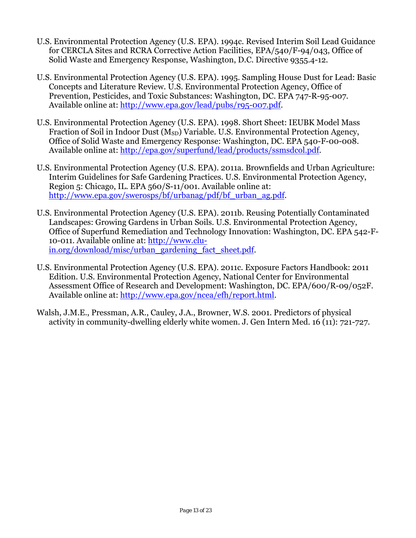- U.S. Environmental Protection Agency (U.S. EPA). 1994c. Revised Interim Soil Lead Guidance for CERCLA Sites and RCRA Corrective Action Facilities, EPA/540/F-94/043, Office of Solid Waste and Emergency Response, Washington, D.C. Directive 9355.4-12.
- U.S. Environmental Protection Agency (U.S. EPA). 1995. Sampling House Dust for Lead: Basic Concepts and Literature Review. U.S. Environmental Protection Agency, Office of Prevention, Pesticides, and Toxic Substances: Washington, DC. EPA 747-R-95-007. Available online at: http://www.epa.gov/lead/pubs/r95-007.pdf.
- U.S. Environmental Protection Agency (U.S. EPA). 1998. Short Sheet: IEUBK Model Mass Fraction of Soil in Indoor Dust  $(M_{SD})$  Variable. U.S. Environmental Protection Agency, Office of Solid Waste and Emergency Response: Washington, DC. EPA 540-F-00-008. Available online at: http://epa.gov/superfund/lead/products/ssmsdcol.pdf.
- U.S. Environmental Protection Agency (U.S. EPA). 2011a. Brownfields and Urban Agriculture: Interim Guidelines for Safe Gardening Practices. U.S. Environmental Protection Agency, Region 5: Chicago, IL. EPA 560/S-11/001. Available online at: http://www.epa.gov/swerosps/bf/urbanag/pdf/bf\_urban\_ag.pdf.
- U.S. Environmental Protection Agency (U.S. EPA). 2011b. Reusing Potentially Contaminated Landscapes: Growing Gardens in Urban Soils. U.S. Environmental Protection Agency, Office of Superfund Remediation and Technology Innovation: Washington, DC. EPA 542-F-10-011. Available online at: http://www.cluin.org/download/misc/urban\_gardening\_fact\_sheet.pdf.
- U.S. Environmental Protection Agency (U.S. EPA). 2011c. Exposure Factors Handbook: 2011 Edition. U.S. Environmental Protection Agency, National Center for Environmental Assessment Office of Research and Development: Washington, DC. EPA/600/R-09/052F. Available online at: http://www.epa.gov/ncea/efh/report.html.
- Walsh, J.M.E., Pressman, A.R., Cauley, J.A., Browner, W.S. 2001. Predictors of physical activity in community-dwelling elderly white women. J. Gen Intern Med. 16 (11): 721-727.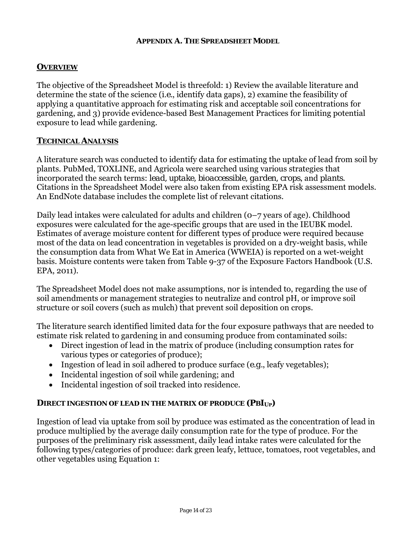#### **APPENDIX A. THE SPREADSHEET MODEL**

# **OVERVIEW**

The objective of the Spreadsheet Model is threefold: 1) Review the available literature and determine the state of the science (*i.e.*, identify data gaps), 2) examine the feasibility of applying a quantitative approach for estimating risk and acceptable soil concentrations for gardening, and 3) provide evidence-based Best Management Practices for limiting potential exposure to lead while gardening.

## **TECHNICAL ANALYSIS**

A literature search was conducted to identify data for estimating the uptake of lead from soil by plants. PubMed, TOXLINE, and Agricola were searched using various strategies that incorporated the search terms: *lead, uptake, bioaccessible, garden, crops*, and *plants*. Citations in the Spreadsheet Model were also taken from existing EPA risk assessment models. An EndNote database includes the complete list of relevant citations.

Daily lead intakes were calculated for adults and children (0–7 years of age). Childhood exposures were calculated for the age-specific groups that are used in the IEUBK model. Estimates of average moisture content for different types of produce were required because most of the data on lead concentration in vegetables is provided on a dry-weight basis, while the consumption data from What We Eat in America (WWEIA) is reported on a wet-weight basis. Moisture contents were taken from Table 9-37 of the Exposure Factors Handbook (U.S. EPA, 2011).

The Spreadsheet Model does not make assumptions, nor is intended to, regarding the use of soil amendments or management strategies to neutralize and control pH, or improve soil structure or soil covers (such as mulch) that prevent soil deposition on crops.

The literature search identified limited data for the four exposure pathways that are needed to estimate risk related to gardening in and consuming produce from contaminated soils:

- Direct ingestion of lead in the matrix of produce (including consumption rates for various types or categories of produce);
- Ingestion of lead in soil adhered to produce surface (*e.g.*, leafy vegetables);
- Incidental ingestion of soil while gardening; and
- Incidental ingestion of soil tracked into residence.

# **DIRECT INGESTION OF LEAD IN THE MATRIX OF PRODUCE (***PBIUP***)**

Ingestion of lead via uptake from soil by produce was estimated as the concentration of lead in produce multiplied by the average daily consumption rate for the type of produce. For the purposes of the preliminary risk assessment, daily lead intake rates were calculated for the following types/categories of produce: dark green leafy, lettuce, tomatoes, root vegetables, and other vegetables using Equation 1: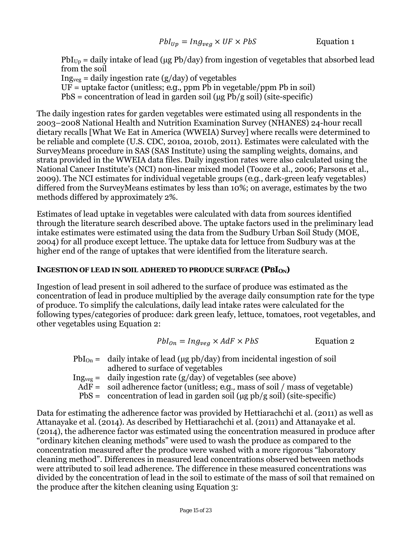$PbI<sub>Up</sub> =$  daily intake of lead (µg Pb/day) from ingestion of vegetables that absorbed lead from the soil  $Ing<sub>veg</sub> = daily ingestion rate (g/day) of vegetables$  $UF = \text{uptake factor (unitless; } e.g., \text{ ppm} \, Pb \, in \, vegetable/ppm Pb \, in \, soil)$  $PbS =$  concentration of lead in garden soil ( $\mu$ g Pb/g soil) (site-specific)

The daily ingestion rates for garden vegetables were estimated using all respondents in the 2003–2008 National Health and Nutrition Examination Survey (NHANES) 24-hour recall dietary recalls [What We Eat in America (WWEIA) Survey] where recalls were determined to be reliable and complete (U.S. CDC, 2010a, 2010b, 2011). Estimates were calculated with the SurveyMeans procedure in SAS (SAS Institute) using the sampling weights, domains, and strata provided in the WWEIA data files. Daily ingestion rates were also calculated using the National Cancer Institute's (NCI) non-linear mixed model (Tooze et al., 2006; Parsons et al., 2009). The NCI estimates for individual vegetable groups (*e.g*., dark-green leafy vegetables) differed from the SurveyMeans estimates by less than 10%; on average, estimates by the two methods differed by approximately 2%.

Estimates of lead uptake in vegetables were calculated with data from sources identified through the literature search described above. The uptake factors used in the preliminary lead intake estimates were estimated using the data from the Sudbury Urban Soil Study (MOE, 2004) for all produce except lettuce. The uptake data for lettuce from Sudbury was at the higher end of the range of uptakes that were identified from the literature search.

#### **INGESTION OF LEAD IN SOIL ADHERED TO PRODUCE SURFACE (***PBI<sub>ON</sub>***)**

Ingestion of lead present in soil adhered to the surface of produce was estimated as the concentration of lead in produce multiplied by the average daily consumption rate for the type of produce. To simplify the calculations, daily lead intake rates were calculated for the following types/categories of produce: dark green leafy, lettuce, tomatoes, root vegetables, and other vegetables using Equation 2:

$$
Pbl_{on} = Ing_{veg} \times AdF \times PbS
$$
 Equation 2

- $PbI_{On} =$  daily intake of lead (µg pb/day) from incidental ingestion of soil adhered to surface of vegetables
- Ing<sub>veg</sub> = daily ingestion rate (g/day) of vegetables (see above)
	- AdF = soil adherence factor (unitless; *e.g.,* mass of soil / mass of vegetable)
	- PbS = concentration of lead in garden soil ( $\mu$ g pb/g soil) (site-specific)

Data for estimating the adherence factor was provided by Hettiarachchi et al. (2011) as well as Attanayake et al. (2014). As described by Hettiarachchi et al. (2011) and Attanayake et al. (2014), the adherence factor was estimated using the concentration measured in produce after "ordinary kitchen cleaning methods" were used to wash the produce as compared to the concentration measured after the produce were washed with a more rigorous "laboratory cleaning method". Differences in measured lead concentrations observed between methods were attributed to soil lead adherence. The difference in these measured concentrations was divided by the concentration of lead in the soil to estimate of the mass of soil that remained on the produce after the kitchen cleaning using Equation 3: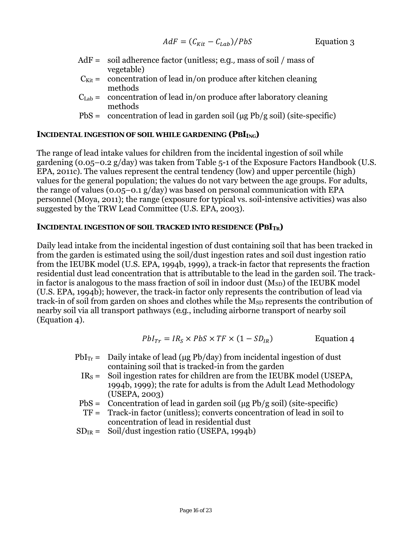- AdF = soil adherence factor (unitless; *e.g.,* mass of soil / mass of vegetable)
- $C_{\text{Kit}} =$  concentration of lead in/on produce after kitchen cleaning methods
- $C_{Lab}$  = concentration of lead in/on produce after laboratory cleaning methods
- PbS = concentration of lead in garden soil ( $\mu$ g Pb/g soil) (site-specific)

# **INCIDENTAL INGESTION OF SOIL WHILE GARDENING (***PBI<sub>ING</sub>***)**

The range of lead intake values for children from the incidental ingestion of soil while gardening (0.05–0.2 g/day) was taken from Table 5-1 of the Exposure Factors Handbook (U.S. EPA, 2011c). The values represent the central tendency (low) and upper percentile (high) values for the general population; the values do not vary between the age groups. For adults, the range of values (0.05–0.1 g/day) was based on personal communication with EPA personnel (Moya, 2011); the range (exposure for typical vs. soil-intensive activities) was also suggested by the TRW Lead Committee (U.S. EPA, 2003).

## INCIDENTAL INGESTION OF SOIL TRACKED INTO RESIDENCE ( $PBI_{TR}$ )

Daily lead intake from the incidental ingestion of dust containing soil that has been tracked in from the garden is estimated using the soil/dust ingestion rates and soil dust ingestion ratio from the IEUBK model (U.S. EPA, 1994b, 1999), a track-in factor that represents the fraction residential dust lead concentration that is attributable to the lead in the garden soil. The trackin factor is analogous to the mass fraction of soil in indoor dust  $(M_{SD})$  of the IEUBK model (U.S. EPA, 1994b); however, the track-in factor only represents the contribution of lead via track-in of soil from garden on shoes and clothes while the M<sub>SD</sub> represents the contribution of nearby soil via all transport pathways (*e.g*., including airborne transport of nearby soil (Equation 4).

$$
Pbl_{Tr} = IR_S \times PbS \times TF \times (1 - SD_{IR})
$$
 Equation 4

- $PbI_{Tr}$  = Daily intake of lead ( $\mu$ g Pb/day) from incidental ingestion of dust containing soil that is tracked-in from the garden
- $IR<sub>S</sub> =$  Soil ingestion rates for children are from the IEUBK model (USEPA, 1994b, 1999); the rate for adults is from the Adult Lead Methodology (USEPA, 2003)
- $PbS =$  Concentration of lead in garden soil ( $\mu$ g Pb/g soil) (site-specific)
- TF = Track-in factor (unitless); converts concentration of lead in soil to concentration of lead in residential dust
- $SD_{IR} =$  Soil/dust ingestion ratio (USEPA, 1994b)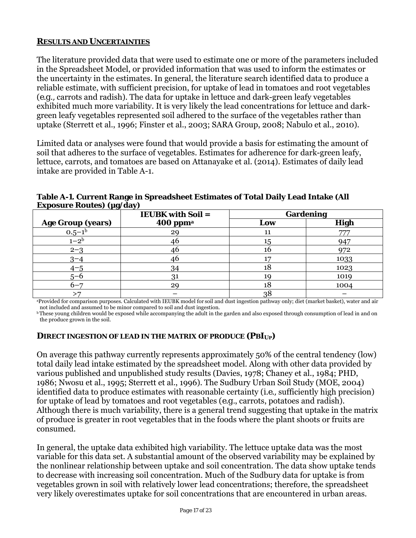# **RESULTS AND UNCERTAINTIES**

The literature provided data that were used to estimate one or more of the parameters included in the Spreadsheet Model, or provided information that was used to inform the estimates or the uncertainty in the estimates. In general, the literature search identified data to produce a reliable estimate, with sufficient precision, for uptake of lead in tomatoes and root vegetables (*e.g.,* carrots and radish). The data for uptake in lettuce and dark-green leafy vegetables exhibited much more variability. It is very likely the lead concentrations for lettuce and darkgreen leafy vegetables represented soil adhered to the surface of the vegetables rather than uptake (Sterrett et al., 1996; Finster et al., 2003; SARA Group, 2008; Nabulo et al., 2010).

Limited data or analyses were found that would provide a basis for estimating the amount of soil that adheres to the surface of vegetables. Estimates for adherence for dark-green leafy, lettuce, carrots, and tomatoes are based on Attanayake et al. (2014). Estimates of daily lead intake are provided in Table A-1.

| $\sim$ 0                 | $\mathbf{r}$<br><b>IEUBK</b> with Soil = |     | <b>Gardening</b> |
|--------------------------|------------------------------------------|-----|------------------|
| <b>Age Group (years)</b> | $400$ ppm <sup>a</sup>                   | Low | <b>High</b>      |
| $0.5 - 1b$               | 29                                       | 11  | 777              |
| $1 - 2^b$                | 46                                       | 15  | 947              |
| $2 - 3$                  | 46                                       | 16  | 972              |
| $3 - 4$                  | 46                                       |     | 1033             |
| $4 - 5$                  | 34                                       | 18  | 1023             |
| $5 - 6$                  | 31                                       | 19  | 1019             |
| $6 - 7$                  | 29                                       | 18  | 1004             |
|                          |                                          | 38  |                  |

**Table A-1. Current Range in Spreadsheet Estimates of Total Daily Lead Intake (All Exposure Routes) (µg/day)** 

<sup>a</sup>Provided for comparison purposes. Calculated with IEUBK model for soil and dust ingestion pathway only; diet (market basket), water and air not included and assumed to be minor compared to soil and dust ingestion.

<sup>b</sup> These young children would be exposed while accompanying the adult in the garden and also exposed through consumption of lead in and on the produce grown in the soil.

# **DIRECT INGESTION OF LEAD IN THE MATRIX OF PRODUCE (***PBIUP***)**

On average this pathway currently represents approximately 50% of the central tendency (low) total daily lead intake estimated by the spreadsheet model. Along with other data provided by various published and unpublished study results (Davies, 1978; Chaney et al., 1984; PHD, 1986; Nwosu et al., 1995; Sterrett et al., 1996). The Sudbury Urban Soil Study (MOE, 2004) identified data to produce estimates with reasonable certainty (*i.e.,* sufficiently high precision) for uptake of lead by tomatoes and root vegetables (*e.g.*, carrots, potatoes and radish). Although there is much variability, there is a general trend suggesting that uptake in the matrix of produce is greater in root vegetables that in the foods where the plant shoots or fruits are consumed.

In general, the uptake data exhibited high variability. The lettuce uptake data was the most variable for this data set. A substantial amount of the observed variability may be explained by the nonlinear relationship between uptake and soil concentration. The data show uptake tends to decrease with increasing soil concentration. Much of the Sudbury data for uptake is from vegetables grown in soil with relatively lower lead concentrations; therefore, the spreadsheet very likely overestimates uptake for soil concentrations that are encountered in urban areas.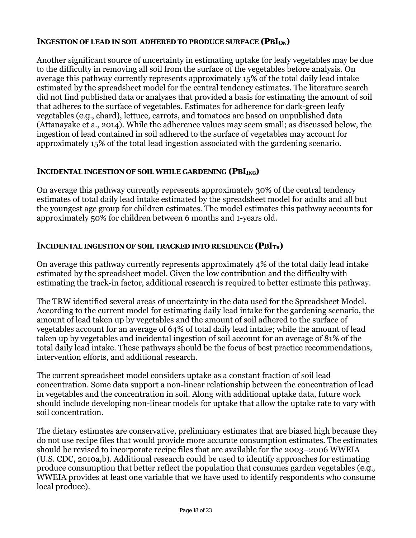# **INGESTION OF LEAD IN SOIL ADHERED TO PRODUCE SURFACE (***PBI<sub>ON</sub>***)**

Another significant source of uncertainty in estimating uptake for leafy vegetables may be due to the difficulty in removing all soil from the surface of the vegetables before analysis. On average this pathway currently represents approximately 15% of the total daily lead intake estimated by the spreadsheet model for the central tendency estimates. The literature search did not find published data or analyses that provided a basis for estimating the amount of soil that adheres to the surface of vegetables. Estimates for adherence for dark-green leafy vegetables (*e.g.*, chard), lettuce, carrots, and tomatoes are based on unpublished data (Attanayake et a., 2014). While the adherence values may seem small; as discussed below, the ingestion of lead contained in soil adhered to the surface of vegetables may account for approximately 15% of the total lead ingestion associated with the gardening scenario.

# **INCIDENTAL INGESTION OF SOIL WHILE GARDENING (PBIING)**

On average this pathway currently represents approximately 30% of the central tendency estimates of total daily lead intake estimated by the spreadsheet model for adults and all but the youngest age group for children estimates. The model estimates this pathway accounts for approximately 50% for children between 6 months and 1-years old.

# **INCIDENTAL INGESTION OF SOIL TRACKED INTO RESIDENCE (***PBITR***)**

On average this pathway currently represents approximately 4% of the total daily lead intake estimated by the spreadsheet model. Given the low contribution and the difficulty with estimating the track-in factor, additional research is required to better estimate this pathway.

The TRW identified several areas of uncertainty in the data used for the Spreadsheet Model. According to the current model for estimating daily lead intake for the gardening scenario, the amount of lead taken up by vegetables and the amount of soil adhered to the surface of vegetables account for an average of 64% of total daily lead intake; while the amount of lead taken up by vegetables and incidental ingestion of soil account for an average of 81% of the total daily lead intake. These pathways should be the focus of best practice recommendations, intervention efforts, and additional research.

The current spreadsheet model considers uptake as a constant fraction of soil lead concentration. Some data support a non-linear relationship between the concentration of lead in vegetables and the concentration in soil. Along with additional uptake data, future work should include developing non-linear models for uptake that allow the uptake rate to vary with soil concentration.

The dietary estimates are conservative, preliminary estimates that are biased high because they do not use recipe files that would provide more accurate consumption estimates. The estimates should be revised to incorporate recipe files that are available for the 2003–2006 WWEIA (U.S. CDC, 2010a,b). Additional research could be used to identify approaches for estimating produce consumption that better reflect the population that consumes garden vegetables (*e.g.,*  WWEIA provides at least one variable that we have used to identify respondents who consume local produce).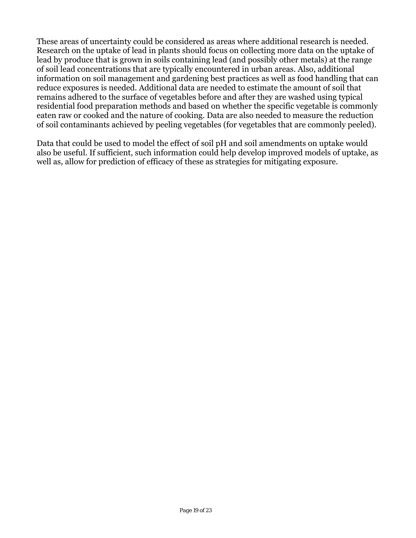These areas of uncertainty could be considered as areas where additional research is needed. Research on the uptake of lead in plants should focus on collecting more data on the uptake of lead by produce that is grown in soils containing lead (and possibly other metals) at the range of soil lead concentrations that are typically encountered in urban areas. Also, additional information on soil management and gardening best practices as well as food handling that can reduce exposures is needed. Additional data are needed to estimate the amount of soil that remains adhered to the surface of vegetables before and after they are washed using typical residential food preparation methods and based on whether the specific vegetable is commonly eaten raw or cooked and the nature of cooking. Data are also needed to measure the reduction of soil contaminants achieved by peeling vegetables (for vegetables that are commonly peeled).

Data that could be used to model the effect of soil pH and soil amendments on uptake would also be useful. If sufficient, such information could help develop improved models of uptake, as well as, allow for prediction of efficacy of these as strategies for mitigating exposure.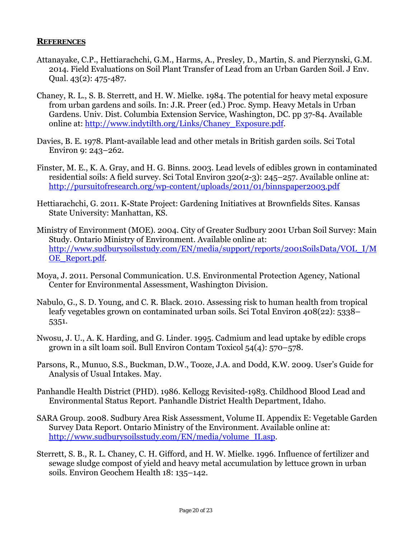#### **REFERENCES**

- Attanayake, C.P., Hettiarachchi, G.M., Harms, A., Presley, D., Martin, S. and Pierzynski, G.M. 2014. Field Evaluations on Soil Plant Transfer of Lead from an Urban Garden Soil. J Env. Qual. 43(2): 475-487.
- Chaney, R. L., S. B. Sterrett, and H. W. Mielke. 1984. The potential for heavy metal exposure from urban gardens and soils. In: J.R. Preer (ed.) Proc. Symp. Heavy Metals in Urban Gardens. Univ. Dist. Columbia Extension Service, Washington, DC. pp 37-84. Available online at: http://www.indytilth.org/Links/Chaney\_Exposure.pdf.
- Davies, B. E. 1978. Plant-available lead and other metals in British garden soils. Sci Total Environ 9: 243–262.
- Finster, M. E., K. A. Gray, and H. G. Binns. 2003. Lead levels of edibles grown in contaminated residential soils: A field survey. Sci Total Environ 320(2-3): 245–257. Available online at: http://pursuitofresearch.org/wp-content/uploads/2011/01/binnspaper2003.pdf
- Hettiarachchi, G. 2011. K-State Project: Gardening Initiatives at Brownfields Sites. Kansas State University: Manhattan, KS.
- Ministry of Environment (MOE). 2004. City of Greater Sudbury 2001 Urban Soil Survey: Main Study. Ontario Ministry of Environment. Available online at: http://www.sudburysoilsstudy.com/EN/media/support/reports/2001SoilsData/VOL\_I/M OE\_Report.pdf.
- Moya, J. 2011. Personal Communication. U.S. Environmental Protection Agency, National Center for Environmental Assessment, Washington Division.
- Nabulo, G., S. D. Young, and C. R. Black. 2010. Assessing risk to human health from tropical leafy vegetables grown on contaminated urban soils. Sci Total Environ 408(22): 5338– 5351.
- Nwosu, J. U., A. K. Harding, and G. Linder. 1995. Cadmium and lead uptake by edible crops grown in a silt loam soil. Bull Environ Contam Toxicol 54(4): 570–578.
- Parsons, R., Munuo, S.S., Buckman, D.W., Tooze, J.A. and Dodd, K.W. 2009. User's Guide for Analysis of Usual Intakes. May.
- Panhandle Health District (PHD). 1986. Kellogg Revisited-1983. Childhood Blood Lead and Environmental Status Report. Panhandle District Health Department, Idaho.
- SARA Group. 2008. Sudbury Area Risk Assessment, Volume II. Appendix E: Vegetable Garden Survey Data Report. Ontario Ministry of the Environment. Available online at: http://www.sudburysoilsstudy.com/EN/media/volume\_II.asp.
- Sterrett, S. B., R. L. Chaney, C. H. Gifford, and H. W. Mielke. 1996. Influence of fertilizer and sewage sludge compost of yield and heavy metal accumulation by lettuce grown in urban soils. Environ Geochem Health 18: 135–142.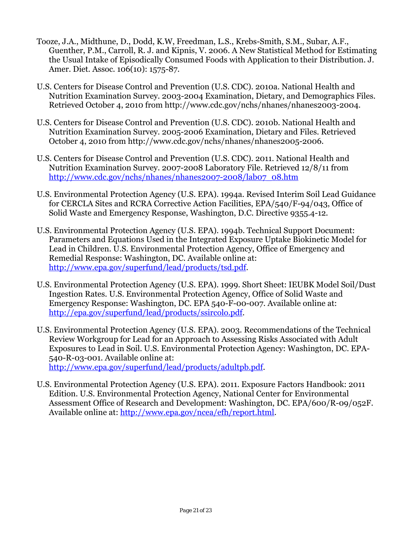- Tooze, J.A., Midthune, D., Dodd, K.W, Freedman, L.S., Krebs-Smith, S.M., Subar, A.F., Guenther, P.M., Carroll, R. J. and Kipnis, V. 2006. A New Statistical Method for Estimating the Usual Intake of Episodically Consumed Foods with Application to their Distribution. J. Amer. Diet. Assoc. 106(10): 1575-87.
- U.S. Centers for Disease Control and Prevention (U.S. CDC). 2010a. National Health and Nutrition Examination Survey. 2003-2004 Examination, Dietary, and Demographics Files. Retrieved October 4, 2010 from http://www.cdc.gov/nchs/nhanes/nhanes2003-2004.
- U.S. Centers for Disease Control and Prevention (U.S. CDC). 2010b. National Health and Nutrition Examination Survey. 2005-2006 Examination, Dietary and Files. Retrieved October 4, 2010 from http://www.cdc.gov/nchs/nhanes/nhanes2005-2006.
- http://www.cdc.gov/nchs/nhanes/nhanes2007-2008/lab07\_08.htm U.S. Centers for Disease Control and Prevention (U.S. CDC). 2011. National Health and Nutrition Examination Survey. 2007-2008 Laboratory File. Retrieved 12/8/11 from
- U.S. Environmental Protection Agency (U.S. EPA). 1994a. Revised Interim Soil Lead Guidance for CERCLA Sites and RCRA Corrective Action Facilities, EPA/540/F-94/043, Office of Solid Waste and Emergency Response, Washington, D.C. Directive 9355.4-12.
- U.S. Environmental Protection Agency (U.S. EPA). 1994b. Technical Support Document: Parameters and Equations Used in the Integrated Exposure Uptake Biokinetic Model for Lead in Children. U.S. Environmental Protection Agency, Office of Emergency and Remedial Response: Washington, DC. Available online at: http://www.epa.gov/superfund/lead/products/tsd.pdf.
- U.S. Environmental Protection Agency (U.S. EPA). 1999. Short Sheet: IEUBK Model Soil/Dust Ingestion Rates. U.S. Environmental Protection Agency, Office of Solid Waste and Emergency Response: Washington, DC. EPA 540-F-00-007. Available online at: http://epa.gov/superfund/lead/products/ssircolo.pdf.
- U.S. Environmental Protection Agency (U.S. EPA). 2003. Recommendations of the Technical Review Workgroup for Lead for an Approach to Assessing Risks Associated with Adult Exposures to Lead in Soil. U.S. Environmental Protection Agency: Washington, DC. EPA-540-R-03-001. Available online at: http://www.epa.gov/superfund/lead/products/adultpb.pdf.
- U.S. Environmental Protection Agency (U.S. EPA). 2011. Exposure Factors Handbook: 2011 Edition. U.S. Environmental Protection Agency, National Center for Environmental Assessment Office of Research and Development: Washington, DC. EPA/600/R-09/052F. Available online at: http://www.epa.gov/ncea/efh/report.html.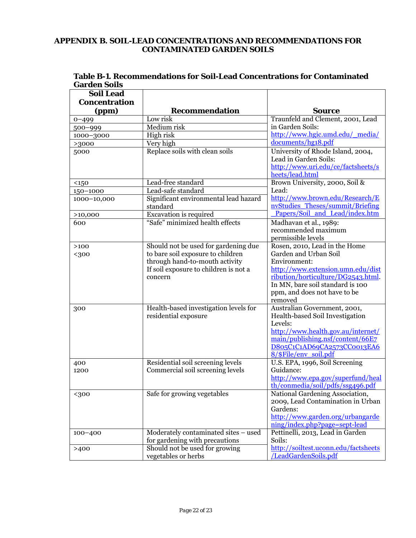#### **APPENDIX B. SOIL-LEAD CONCENTRATIONS AND RECOMMENDATIONS FOR CONTAMINATED GARDEN SOILS**

| Table B-1. Recommendations for Soil-Lead Concentrations for Contaminated |
|--------------------------------------------------------------------------|
| <b>Garden Soils</b>                                                      |

| <b>Soil Lead</b>     |                                       |                                                                        |
|----------------------|---------------------------------------|------------------------------------------------------------------------|
| <b>Concentration</b> |                                       |                                                                        |
| (ppm)                | <b>Recommendation</b>                 | <b>Source</b>                                                          |
| $0 - 499$            | Low risk                              | Traunfeld and Clement, 2001, Lead                                      |
| $500 - 999$          | Medium risk                           | in Garden Soils:                                                       |
| 1000-3000            | High risk                             | http://www.hgic.umd.edu/ media/                                        |
| >3000                | Very high                             | documents/hg18.pdf                                                     |
| 5000                 | Replace soils with clean soils        | University of Rhode Island, 2004,                                      |
|                      |                                       | Lead in Garden Soils:                                                  |
|                      |                                       | http://www.uri.edu/ce/factsheets/s                                     |
|                      |                                       | heets/lead.html                                                        |
| $150$                | Lead-free standard                    | Brown University, 2000, Soil &                                         |
| 150-1000             | Lead-safe standard                    | Lead:                                                                  |
| 1000-10,000          | Significant environmental lead hazard | http://www.brown.edu/Research/E                                        |
|                      | standard                              | nvStudies Theses/summit/Briefing                                       |
| >10,000              | Excavation is required                | Papers/Soil and Lead/index.htm                                         |
| 600                  | "Safe" minimized health effects       | Madhavan et al., 1989:                                                 |
|                      |                                       | recommended maximum                                                    |
|                      |                                       | permissible levels                                                     |
| >100                 | Should not be used for gardening due  | Rosen, 2010, Lead in the Home                                          |
| $300$                | to bare soil exposure to children     | Garden and Urban Soil                                                  |
|                      | through hand-to-mouth activity        | Environment:                                                           |
|                      | If soil exposure to children is not a | http://www.extension.umn.edu/dist                                      |
|                      | concern                               | ribution/horticulture/DG2543.html.<br>In MN, bare soil standard is 100 |
|                      |                                       |                                                                        |
|                      |                                       | ppm, and does not have to be<br>removed                                |
| 300                  | Health-based investigation levels for | Australian Government, 2001,                                           |
|                      | residential exposure                  | Health-based Soil Investigation                                        |
|                      |                                       | Levels:                                                                |
|                      |                                       | http://www.health.gov.au/internet/                                     |
|                      |                                       | main/publishing.nsf/content/66E7                                       |
|                      |                                       | D805C1C1AD69CA2573CC0013EA6                                            |
|                      |                                       | 8/\$File/env_soil.pdf                                                  |
| 400                  | Residential soil screening levels     | U.S. EPA, 1996, Soil Screening                                         |
| 1200                 | Commercial soil screening levels      | Guidance:                                                              |
|                      |                                       | http://www.epa.gov/superfund/heal                                      |
|                      |                                       | th/conmedia/soil/pdfs/ssg496.pdf                                       |
| <300                 | Safe for growing vegetables           | National Gardening Association,                                        |
|                      |                                       | 2009, Lead Contamination in Urban                                      |
|                      |                                       | Gardens:                                                               |
|                      |                                       | http://www.garden.org/urbangarde                                       |
|                      |                                       | ning/index.php?page=sept-lead                                          |
| $100 - 400$          | Moderately contaminated sites - used  | Pettinelli, 2013, Lead in Garden                                       |
|                      | for gardening with precautions        | Soils:                                                                 |
| >400                 | Should not be used for growing        | http://soiltest.uconn.edu/factsheets                                   |
|                      | vegetables or herbs                   | /LeadGardenSoils.pdf                                                   |